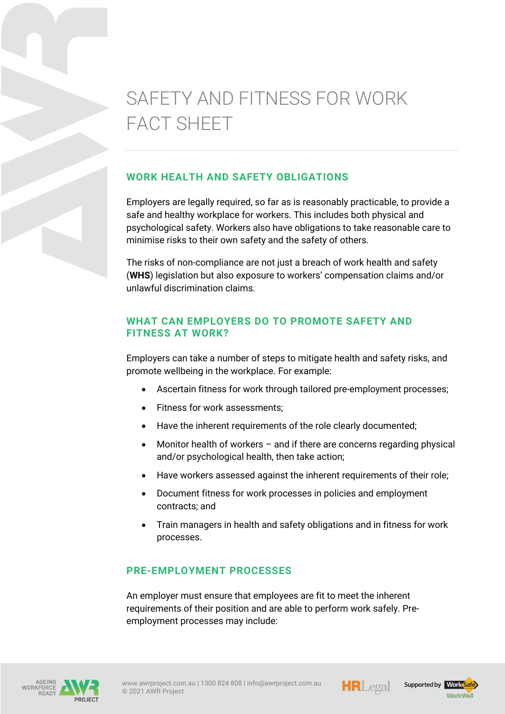# SAFETY AND FITNESS FOR WORK FACT SHEET

# **WORK HEALTH AND SAFETY OBLIGATIONS**

Employers are legally required, so far as is reasonably practicable, to provide a safe and healthy workplace for workers. This includes both physical and psychological safety. Workers also have obligations to take reasonable care to minimise risks to their own safety and the safety of others.

The risks of non-compliance are not just a breach of work health and safety (**WHS**) legislation but also exposure to workers' compensation claims and/or unlawful discrimination claims.

# **WHAT CAN EMPLOYERS DO TO PROMOTE SAFETY AND FITNESS AT WORK?**

Employers can take a number of steps to mitigate health and safety risks, and promote wellbeing in the workplace. For example:

- Ascertain fitness for work through tailored pre-employment processes;
- Fitness for work assessments;
- Have the inherent requirements of the role clearly documented;
- Monitor health of workers and if there are concerns regarding physical and/or psychological health, then take action;
- Have workers assessed against the inherent requirements of their role;
- Document fitness for work processes in policies and employment contracts; and
- Train managers in health and safety obligations and in fitness for work processes.

# **PRE-EMPLOYMENT PROCESSES**

An employer must ensure that employees are fit to meet the inherent requirements of their position and are able to perform work safely. Preemployment processes may include:







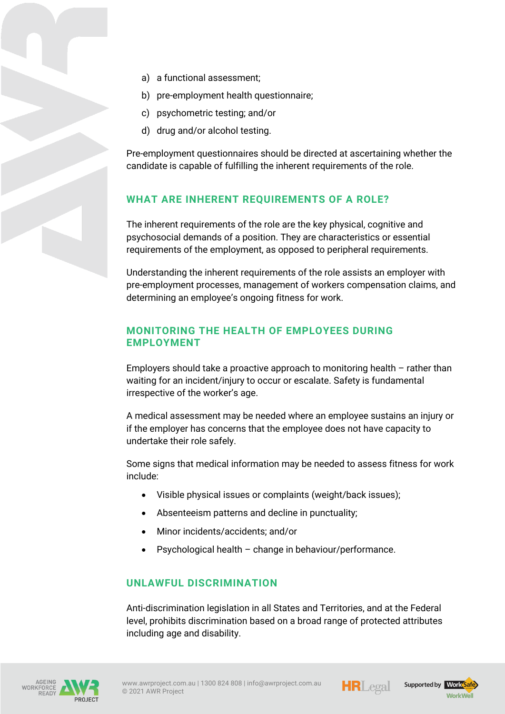- a) a functional assessment;
- b) pre-employment health questionnaire;
- c) psychometric testing; and/or
- d) drug and/or alcohol testing.

Pre-employment questionnaires should be directed at ascertaining whether the candidate is capable of fulfilling the inherent requirements of the role.

# **WHAT ARE INHERENT REQUIREMENTS OF A ROLE?**

The inherent requirements of the role are the key physical, cognitive and psychosocial demands of a position. They are characteristics or essential requirements of the employment, as opposed to peripheral requirements.

Understanding the inherent requirements of the role assists an employer with pre-employment processes, management of workers compensation claims, and determining an employee's ongoing fitness for work.

# **MONITORING THE HEALTH OF EMPLOYEES DURING EMPLOYMENT**

Employers should take a proactive approach to monitoring health – rather than waiting for an incident/injury to occur or escalate. Safety is fundamental irrespective of the worker's age.

A medical assessment may be needed where an employee sustains an injury or if the employer has concerns that the employee does not have capacity to undertake their role safely.

Some signs that medical information may be needed to assess fitness for work include:

- Visible physical issues or complaints (weight/back issues);
- Absenteeism patterns and decline in punctuality;
- Minor incidents/accidents; and/or
- Psychological health change in behaviour/performance.

#### **UNLAWFUL DISCRIMINATION**

Anti-discrimination legislation in all States and Territories, and at the Federal level, prohibits discrimination based on a broad range of protected attributes including age and disability.